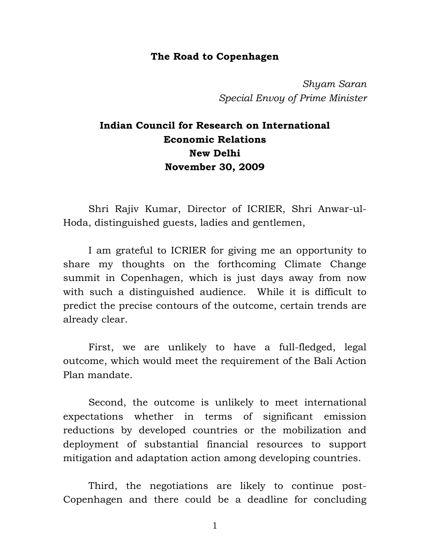#### **The Road to Copenhagen**

*Shyam Saran Special Envoy of Prime Minister*

# **Indian Council for Research on International Economic Relations New Delhi November 30, 2009**

 Shri Rajiv Kumar, Director of ICRIER, Shri Anwar-ul-Hoda, distinguished guests, ladies and gentlemen,

 I am grateful to ICRIER for giving me an opportunity to share my thoughts on the forthcoming Climate Change summit in Copenhagen, which is just days away from now with such a distinguished audience. While it is difficult to predict the precise contours of the outcome, certain trends are already clear.

 First, we are unlikely to have a full-fledged, legal outcome, which would meet the requirement of the Bali Action Plan mandate.

 Second, the outcome is unlikely to meet international expectations whether in terms of significant emission reductions by developed countries or the mobilization and deployment of substantial financial resources to support mitigation and adaptation action among developing countries.

 Third, the negotiations are likely to continue post-Copenhagen and there could be a deadline for concluding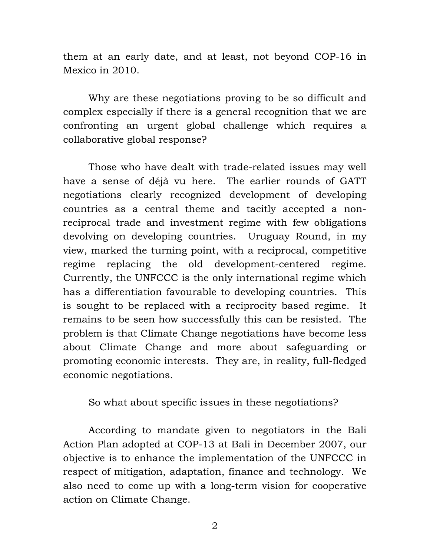them at an early date, and at least, not beyond COP-16 in Mexico in 2010.

 Why are these negotiations proving to be so difficult and complex especially if there is a general recognition that we are confronting an urgent global challenge which requires a collaborative global response?

 Those who have dealt with trade-related issues may well have a sense of déjà vu here. The earlier rounds of GATT negotiations clearly recognized development of developing countries as a central theme and tacitly accepted a nonreciprocal trade and investment regime with few obligations devolving on developing countries. Uruguay Round, in my view, marked the turning point, with a reciprocal, competitive regime replacing the old development-centered regime. Currently, the UNFCCC is the only international regime which has a differentiation favourable to developing countries. This is sought to be replaced with a reciprocity based regime. It remains to be seen how successfully this can be resisted. The problem is that Climate Change negotiations have become less about Climate Change and more about safeguarding or promoting economic interests. They are, in reality, full-fledged economic negotiations.

So what about specific issues in these negotiations?

 According to mandate given to negotiators in the Bali Action Plan adopted at COP-13 at Bali in December 2007, our objective is to enhance the implementation of the UNFCCC in respect of mitigation, adaptation, finance and technology. We also need to come up with a long-term vision for cooperative action on Climate Change.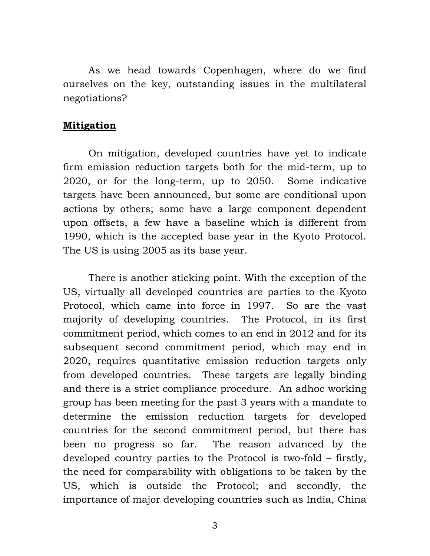As we head towards Copenhagen, where do we find ourselves on the key, outstanding issues in the multilateral negotiations?

#### **Mitigation**

 On mitigation, developed countries have yet to indicate firm emission reduction targets both for the mid-term, up to 2020, or for the long-term, up to 2050. Some indicative targets have been announced, but some are conditional upon actions by others; some have a large component dependent upon offsets, a few have a baseline which is different from 1990, which is the accepted base year in the Kyoto Protocol. The US is using 2005 as its base year.

 There is another sticking point. With the exception of the US, virtually all developed countries are parties to the Kyoto Protocol, which came into force in 1997. So are the vast majority of developing countries. The Protocol, in its first commitment period, which comes to an end in 2012 and for its subsequent second commitment period, which may end in 2020, requires quantitative emission reduction targets only from developed countries. These targets are legally binding and there is a strict compliance procedure. An adhoc working group has been meeting for the past 3 years with a mandate to determine the emission reduction targets for developed countries for the second commitment period, but there has been no progress so far. The reason advanced by the developed country parties to the Protocol is two-fold – firstly, the need for comparability with obligations to be taken by the US, which is outside the Protocol; and secondly, the importance of major developing countries such as India, China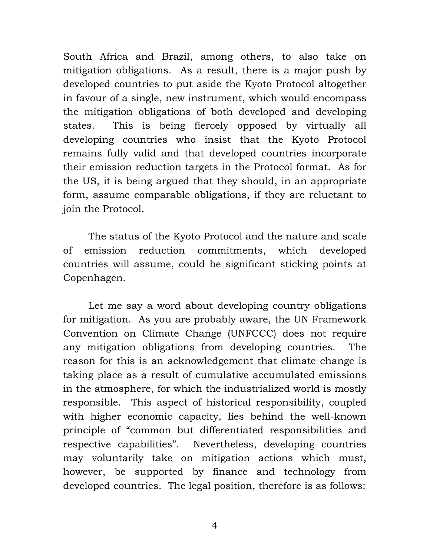South Africa and Brazil, among others, to also take on mitigation obligations. As a result, there is a major push by developed countries to put aside the Kyoto Protocol altogether in favour of a single, new instrument, which would encompass the mitigation obligations of both developed and developing states. This is being fiercely opposed by virtually all developing countries who insist that the Kyoto Protocol remains fully valid and that developed countries incorporate their emission reduction targets in the Protocol format. As for the US, it is being argued that they should, in an appropriate form, assume comparable obligations, if they are reluctant to join the Protocol.

 The status of the Kyoto Protocol and the nature and scale of emission reduction commitments, which developed countries will assume, could be significant sticking points at Copenhagen.

 Let me say a word about developing country obligations for mitigation. As you are probably aware, the UN Framework Convention on Climate Change (UNFCCC) does not require any mitigation obligations from developing countries. The reason for this is an acknowledgement that climate change is taking place as a result of cumulative accumulated emissions in the atmosphere, for which the industrialized world is mostly responsible. This aspect of historical responsibility, coupled with higher economic capacity, lies behind the well-known principle of "common but differentiated responsibilities and respective capabilities". Nevertheless, developing countries may voluntarily take on mitigation actions which must, however, be supported by finance and technology from developed countries. The legal position, therefore is as follows: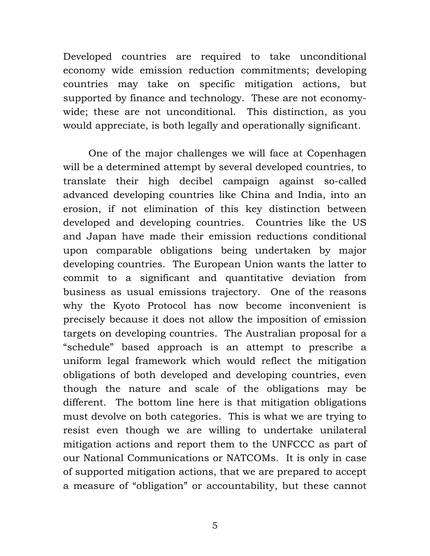Developed countries are required to take unconditional economy wide emission reduction commitments; developing countries may take on specific mitigation actions, but supported by finance and technology. These are not economywide; these are not unconditional. This distinction, as you would appreciate, is both legally and operationally significant.

 One of the major challenges we will face at Copenhagen will be a determined attempt by several developed countries, to translate their high decibel campaign against so-called advanced developing countries like China and India, into an erosion, if not elimination of this key distinction between developed and developing countries. Countries like the US and Japan have made their emission reductions conditional upon comparable obligations being undertaken by major developing countries. The European Union wants the latter to commit to a significant and quantitative deviation from business as usual emissions trajectory. One of the reasons why the Kyoto Protocol has now become inconvenient is precisely because it does not allow the imposition of emission targets on developing countries. The Australian proposal for a "schedule" based approach is an attempt to prescribe a uniform legal framework which would reflect the mitigation obligations of both developed and developing countries, even though the nature and scale of the obligations may be different. The bottom line here is that mitigation obligations must devolve on both categories. This is what we are trying to resist even though we are willing to undertake unilateral mitigation actions and report them to the UNFCCC as part of our National Communications or NATCOMs. It is only in case of supported mitigation actions, that we are prepared to accept a measure of "obligation" or accountability, but these cannot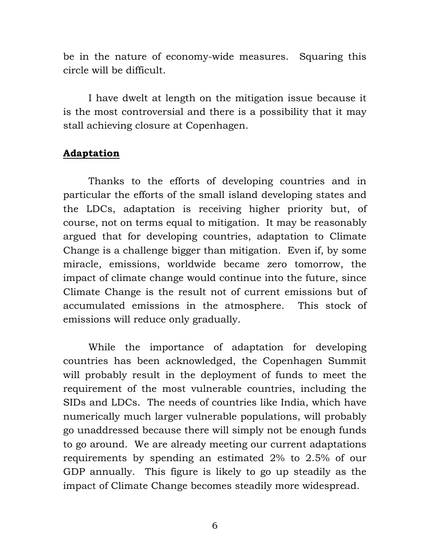be in the nature of economy-wide measures. Squaring this circle will be difficult.

 I have dwelt at length on the mitigation issue because it is the most controversial and there is a possibility that it may stall achieving closure at Copenhagen.

## **Adaptation**

 Thanks to the efforts of developing countries and in particular the efforts of the small island developing states and the LDCs, adaptation is receiving higher priority but, of course, not on terms equal to mitigation. It may be reasonably argued that for developing countries, adaptation to Climate Change is a challenge bigger than mitigation. Even if, by some miracle, emissions, worldwide became zero tomorrow, the impact of climate change would continue into the future, since Climate Change is the result not of current emissions but of accumulated emissions in the atmosphere. This stock of emissions will reduce only gradually.

 While the importance of adaptation for developing countries has been acknowledged, the Copenhagen Summit will probably result in the deployment of funds to meet the requirement of the most vulnerable countries, including the SIDs and LDCs. The needs of countries like India, which have numerically much larger vulnerable populations, will probably go unaddressed because there will simply not be enough funds to go around. We are already meeting our current adaptations requirements by spending an estimated 2% to 2.5% of our GDP annually. This figure is likely to go up steadily as the impact of Climate Change becomes steadily more widespread.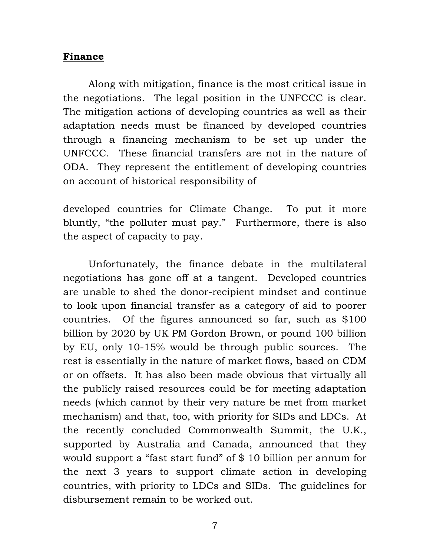### **Finance**

 Along with mitigation, finance is the most critical issue in the negotiations. The legal position in the UNFCCC is clear. The mitigation actions of developing countries as well as their adaptation needs must be financed by developed countries through a financing mechanism to be set up under the UNFCCC. These financial transfers are not in the nature of ODA. They represent the entitlement of developing countries on account of historical responsibility of

developed countries for Climate Change. To put it more bluntly, "the polluter must pay." Furthermore, there is also the aspect of capacity to pay.

 Unfortunately, the finance debate in the multilateral negotiations has gone off at a tangent. Developed countries are unable to shed the donor-recipient mindset and continue to look upon financial transfer as a category of aid to poorer countries. Of the figures announced so far, such as \$100 billion by 2020 by UK PM Gordon Brown, or pound 100 billion by EU, only 10-15% would be through public sources. The rest is essentially in the nature of market flows, based on CDM or on offsets. It has also been made obvious that virtually all the publicly raised resources could be for meeting adaptation needs (which cannot by their very nature be met from market mechanism) and that, too, with priority for SIDs and LDCs. At the recently concluded Commonwealth Summit, the U.K., supported by Australia and Canada, announced that they would support a "fast start fund" of \$ 10 billion per annum for the next 3 years to support climate action in developing countries, with priority to LDCs and SIDs. The guidelines for disbursement remain to be worked out.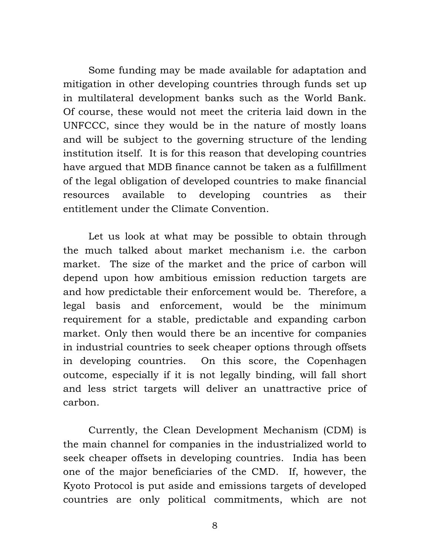Some funding may be made available for adaptation and mitigation in other developing countries through funds set up in multilateral development banks such as the World Bank. Of course, these would not meet the criteria laid down in the UNFCCC, since they would be in the nature of mostly loans and will be subject to the governing structure of the lending institution itself. It is for this reason that developing countries have argued that MDB finance cannot be taken as a fulfillment of the legal obligation of developed countries to make financial resources available to developing countries as their entitlement under the Climate Convention.

 Let us look at what may be possible to obtain through the much talked about market mechanism i.e. the carbon market. The size of the market and the price of carbon will depend upon how ambitious emission reduction targets are and how predictable their enforcement would be. Therefore, a legal basis and enforcement, would be the minimum requirement for a stable, predictable and expanding carbon market. Only then would there be an incentive for companies in industrial countries to seek cheaper options through offsets in developing countries. On this score, the Copenhagen outcome, especially if it is not legally binding, will fall short and less strict targets will deliver an unattractive price of carbon.

 Currently, the Clean Development Mechanism (CDM) is the main channel for companies in the industrialized world to seek cheaper offsets in developing countries. India has been one of the major beneficiaries of the CMD. If, however, the Kyoto Protocol is put aside and emissions targets of developed countries are only political commitments, which are not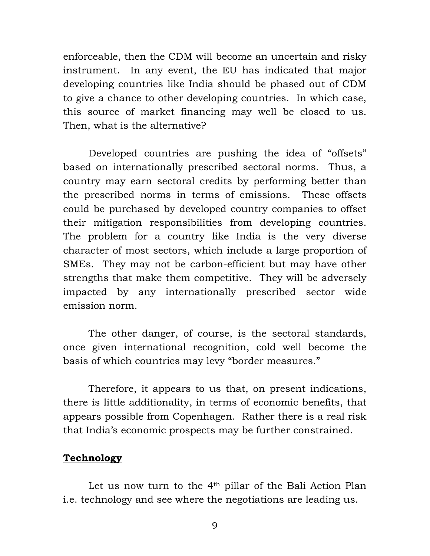enforceable, then the CDM will become an uncertain and risky instrument. In any event, the EU has indicated that major developing countries like India should be phased out of CDM to give a chance to other developing countries. In which case, this source of market financing may well be closed to us. Then, what is the alternative?

 Developed countries are pushing the idea of "offsets" based on internationally prescribed sectoral norms. Thus, a country may earn sectoral credits by performing better than the prescribed norms in terms of emissions. These offsets could be purchased by developed country companies to offset their mitigation responsibilities from developing countries. The problem for a country like India is the very diverse character of most sectors, which include a large proportion of SMEs. They may not be carbon-efficient but may have other strengths that make them competitive. They will be adversely impacted by any internationally prescribed sector wide emission norm.

 The other danger, of course, is the sectoral standards, once given international recognition, cold well become the basis of which countries may levy "border measures."

 Therefore, it appears to us that, on present indications, there is little additionality, in terms of economic benefits, that appears possible from Copenhagen. Rather there is a real risk that India's economic prospects may be further constrained.

#### **Technology**

 Let us now turn to the 4th pillar of the Bali Action Plan i.e. technology and see where the negotiations are leading us.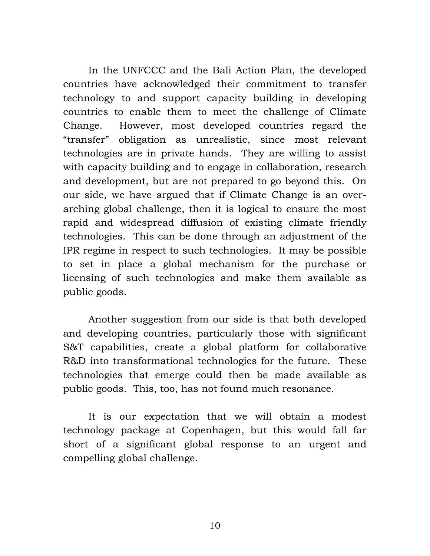In the UNFCCC and the Bali Action Plan, the developed countries have acknowledged their commitment to transfer technology to and support capacity building in developing countries to enable them to meet the challenge of Climate Change. However, most developed countries regard the "transfer" obligation as unrealistic, since most relevant technologies are in private hands. They are willing to assist with capacity building and to engage in collaboration, research and development, but are not prepared to go beyond this. On our side, we have argued that if Climate Change is an overarching global challenge, then it is logical to ensure the most rapid and widespread diffusion of existing climate friendly technologies. This can be done through an adjustment of the IPR regime in respect to such technologies. It may be possible to set in place a global mechanism for the purchase or licensing of such technologies and make them available as public goods.

 Another suggestion from our side is that both developed and developing countries, particularly those with significant S&T capabilities, create a global platform for collaborative R&D into transformational technologies for the future. These technologies that emerge could then be made available as public goods. This, too, has not found much resonance.

 It is our expectation that we will obtain a modest technology package at Copenhagen, but this would fall far short of a significant global response to an urgent and compelling global challenge.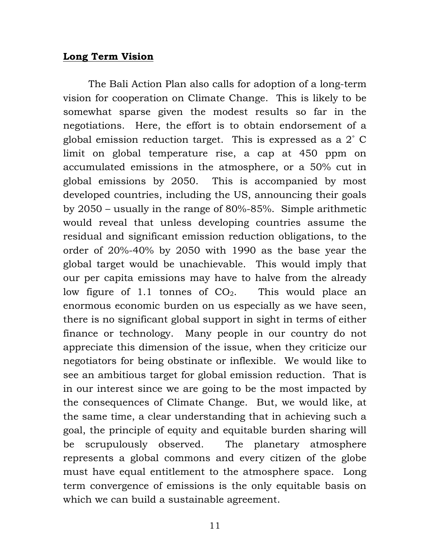#### **Long Term Vision**

 The Bali Action Plan also calls for adoption of a long-term vision for cooperation on Climate Change. This is likely to be somewhat sparse given the modest results so far in the negotiations. Here, the effort is to obtain endorsement of a global emission reduction target. This is expressed as a 2˚ C limit on global temperature rise, a cap at 450 ppm on accumulated emissions in the atmosphere, or a 50% cut in global emissions by 2050. This is accompanied by most developed countries, including the US, announcing their goals by 2050 – usually in the range of 80%-85%. Simple arithmetic would reveal that unless developing countries assume the residual and significant emission reduction obligations, to the order of 20%-40% by 2050 with 1990 as the base year the global target would be unachievable. This would imply that our per capita emissions may have to halve from the already low figure of 1.1 tonnes of  $CO<sub>2</sub>$ . This would place an enormous economic burden on us especially as we have seen, there is no significant global support in sight in terms of either finance or technology. Many people in our country do not appreciate this dimension of the issue, when they criticize our negotiators for being obstinate or inflexible. We would like to see an ambitious target for global emission reduction. That is in our interest since we are going to be the most impacted by the consequences of Climate Change. But, we would like, at the same time, a clear understanding that in achieving such a goal, the principle of equity and equitable burden sharing will be scrupulously observed. The planetary atmosphere represents a global commons and every citizen of the globe must have equal entitlement to the atmosphere space. Long term convergence of emissions is the only equitable basis on which we can build a sustainable agreement.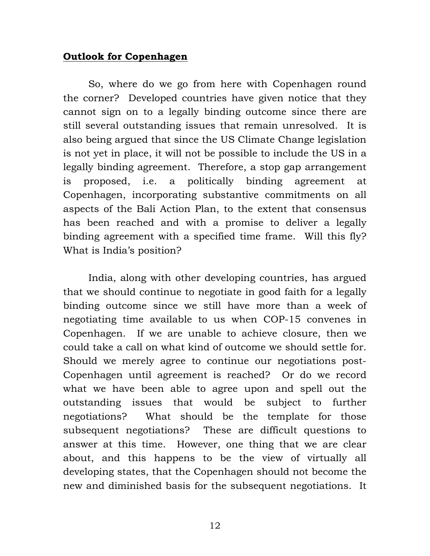### **Outlook for Copenhagen**

 So, where do we go from here with Copenhagen round the corner? Developed countries have given notice that they cannot sign on to a legally binding outcome since there are still several outstanding issues that remain unresolved. It is also being argued that since the US Climate Change legislation is not yet in place, it will not be possible to include the US in a legally binding agreement. Therefore, a stop gap arrangement is proposed, i.e. a politically binding agreement at Copenhagen, incorporating substantive commitments on all aspects of the Bali Action Plan, to the extent that consensus has been reached and with a promise to deliver a legally binding agreement with a specified time frame. Will this fly? What is India's position?

 India, along with other developing countries, has argued that we should continue to negotiate in good faith for a legally binding outcome since we still have more than a week of negotiating time available to us when COP-15 convenes in Copenhagen. If we are unable to achieve closure, then we could take a call on what kind of outcome we should settle for. Should we merely agree to continue our negotiations post-Copenhagen until agreement is reached? Or do we record what we have been able to agree upon and spell out the outstanding issues that would be subject to further negotiations? What should be the template for those subsequent negotiations? These are difficult questions to answer at this time. However, one thing that we are clear about, and this happens to be the view of virtually all developing states, that the Copenhagen should not become the new and diminished basis for the subsequent negotiations. It